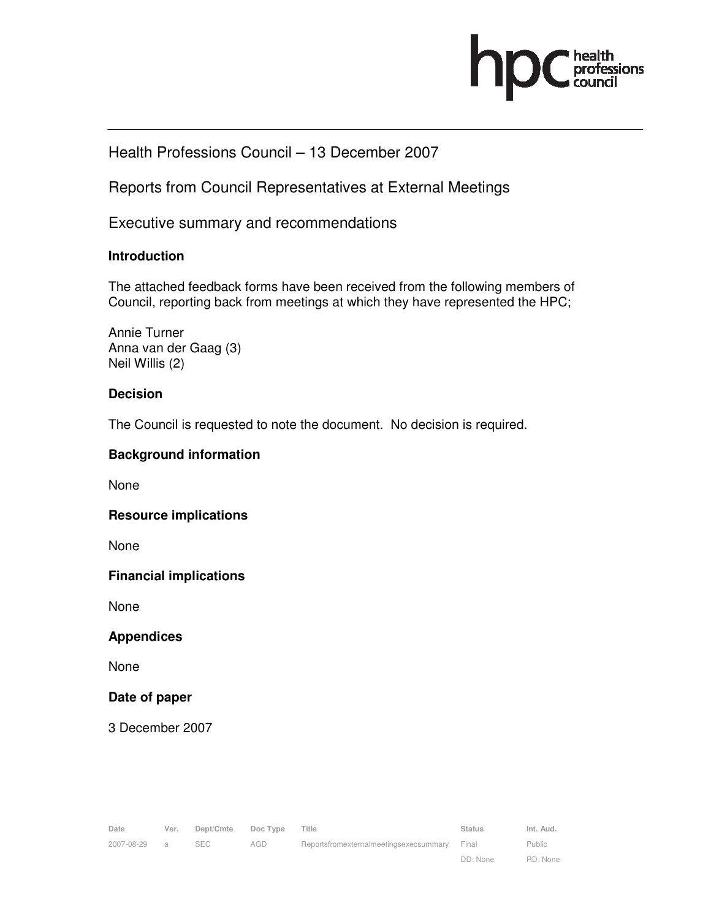

# Health Professions Council – 13 December 2007

Reports from Council Representatives at External Meetings

Executive summary and recommendations

# **Introduction**

The attached feedback forms have been received from the following members of Council, reporting back from meetings at which they have represented the HPC;

Annie Turner Anna van der Gaag (3) Neil Willis (2)

# **Decision**

The Council is requested to note the document. No decision is required.

# **Background information**

None

### **Resource implications**

None

### **Financial implications**

None

### **Appendices**

None

### **Date of paper**

3 December 2007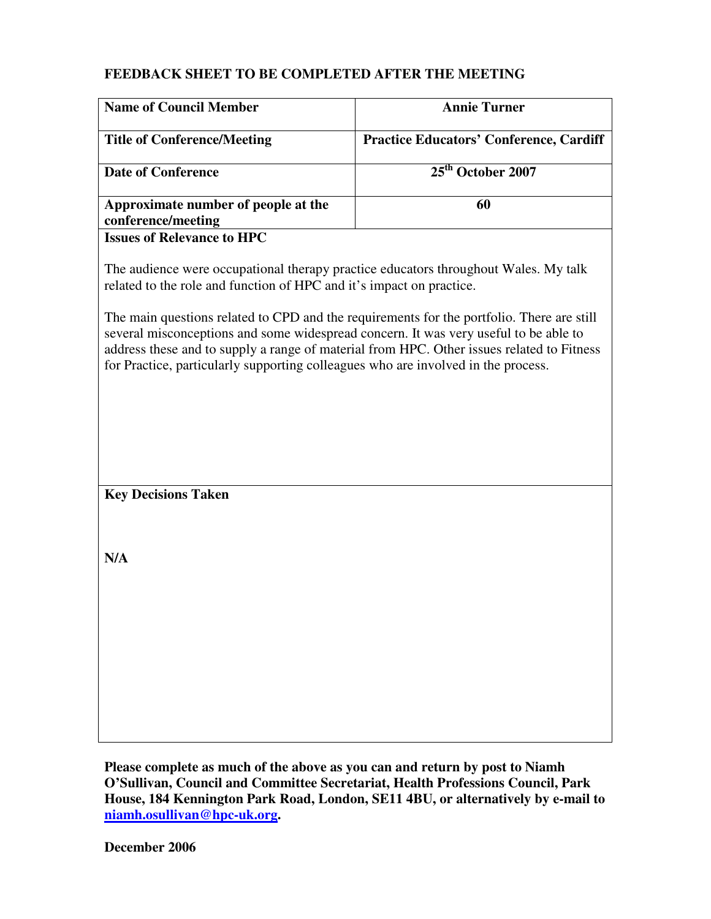| <b>Name of Council Member</b>                                                                                                                                                                                                                                                                                                                                       | <b>Annie Turner</b>                            |  |
|---------------------------------------------------------------------------------------------------------------------------------------------------------------------------------------------------------------------------------------------------------------------------------------------------------------------------------------------------------------------|------------------------------------------------|--|
| <b>Title of Conference/Meeting</b>                                                                                                                                                                                                                                                                                                                                  | <b>Practice Educators' Conference, Cardiff</b> |  |
| <b>Date of Conference</b>                                                                                                                                                                                                                                                                                                                                           | 25 <sup>th</sup> October 2007                  |  |
| Approximate number of people at the<br>conference/meeting                                                                                                                                                                                                                                                                                                           | 60                                             |  |
| <b>Issues of Relevance to HPC</b>                                                                                                                                                                                                                                                                                                                                   |                                                |  |
| The audience were occupational therapy practice educators throughout Wales. My talk<br>related to the role and function of HPC and it's impact on practice.                                                                                                                                                                                                         |                                                |  |
| The main questions related to CPD and the requirements for the portfolio. There are still<br>several misconceptions and some widespread concern. It was very useful to be able to<br>address these and to supply a range of material from HPC. Other issues related to Fitness<br>for Practice, particularly supporting colleagues who are involved in the process. |                                                |  |
|                                                                                                                                                                                                                                                                                                                                                                     |                                                |  |
|                                                                                                                                                                                                                                                                                                                                                                     |                                                |  |
|                                                                                                                                                                                                                                                                                                                                                                     |                                                |  |
| <b>Key Decisions Taken</b>                                                                                                                                                                                                                                                                                                                                          |                                                |  |
|                                                                                                                                                                                                                                                                                                                                                                     |                                                |  |
| N/A                                                                                                                                                                                                                                                                                                                                                                 |                                                |  |
|                                                                                                                                                                                                                                                                                                                                                                     |                                                |  |
|                                                                                                                                                                                                                                                                                                                                                                     |                                                |  |
|                                                                                                                                                                                                                                                                                                                                                                     |                                                |  |
|                                                                                                                                                                                                                                                                                                                                                                     |                                                |  |
|                                                                                                                                                                                                                                                                                                                                                                     |                                                |  |

**Please complete as much of the above as you can and return by post to Niamh O'Sullivan, Council and Committee Secretariat, Health Professions Council, Park House, 184 Kennington Park Road, London, SE11 4BU, or alternatively by e-mail to niamh.osullivan@hpc-uk.org.** 

**December 2006**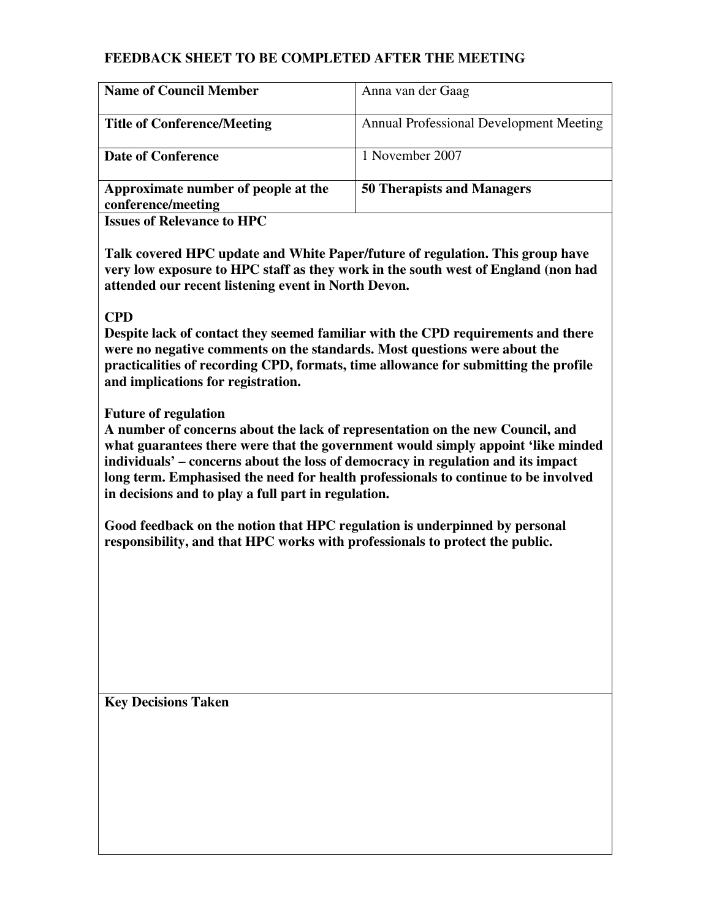| <b>Name of Council Member</b>                             | Anna van der Gaag                              |
|-----------------------------------------------------------|------------------------------------------------|
| <b>Title of Conference/Meeting</b>                        | <b>Annual Professional Development Meeting</b> |
| <b>Date of Conference</b>                                 | 1 November 2007                                |
| Approximate number of people at the<br>conference/meeting | <b>50 Therapists and Managers</b>              |
| <b>Issues of Relevance to HPC</b>                         |                                                |

**Talk covered HPC update and White Paper/future of regulation. This group have very low exposure to HPC staff as they work in the south west of England (non had attended our recent listening event in North Devon.** 

# **CPD**

**Despite lack of contact they seemed familiar with the CPD requirements and there were no negative comments on the standards. Most questions were about the practicalities of recording CPD, formats, time allowance for submitting the profile and implications for registration.** 

### **Future of regulation**

**A number of concerns about the lack of representation on the new Council, and what guarantees there were that the government would simply appoint 'like minded individuals' – concerns about the loss of democracy in regulation and its impact long term. Emphasised the need for health professionals to continue to be involved in decisions and to play a full part in regulation.** 

**Good feedback on the notion that HPC regulation is underpinned by personal responsibility, and that HPC works with professionals to protect the public.** 

**Key Decisions Taken**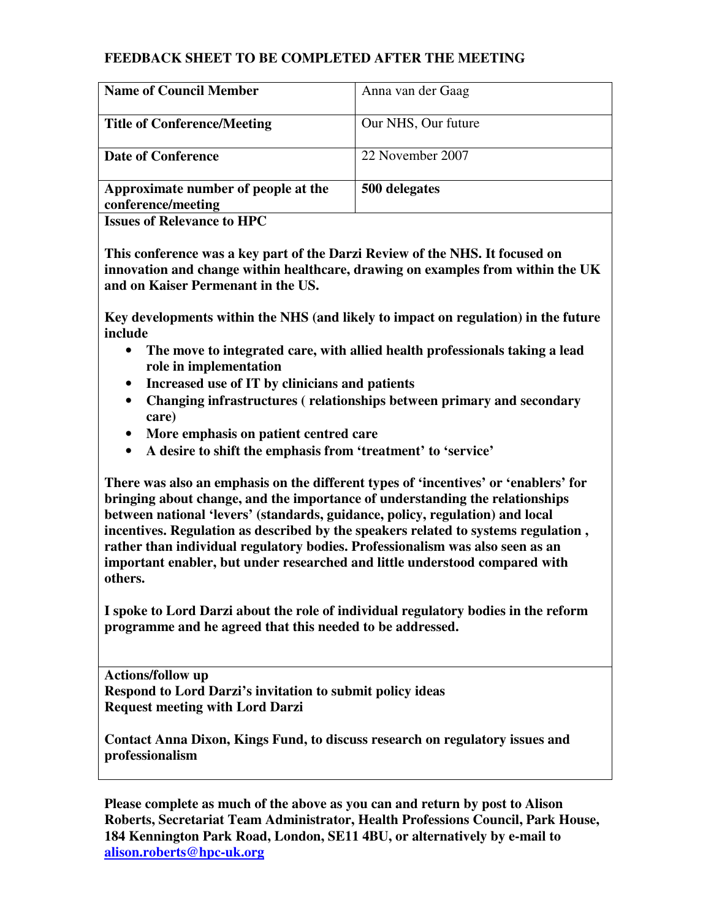| <b>Name of Council Member</b>                             | Anna van der Gaag   |
|-----------------------------------------------------------|---------------------|
| <b>Title of Conference/Meeting</b>                        | Our NHS, Our future |
| <b>Date of Conference</b>                                 | 22 November 2007    |
| Approximate number of people at the<br>conference/meeting | 500 delegates       |
| <b>Issues of Relevance to HPC</b>                         |                     |

**This conference was a key part of the Darzi Review of the NHS. It focused on innovation and change within healthcare, drawing on examples from within the UK and on Kaiser Permenant in the US.** 

**Key developments within the NHS (and likely to impact on regulation) in the future include** 

- **The move to integrated care, with allied health professionals taking a lead role in implementation**
- **Increased use of IT by clinicians and patients**
- **Changing infrastructures ( relationships between primary and secondary care)**
- **More emphasis on patient centred care**
- **A desire to shift the emphasis from 'treatment' to 'service'**

**There was also an emphasis on the different types of 'incentives' or 'enablers' for bringing about change, and the importance of understanding the relationships between national 'levers' (standards, guidance, policy, regulation) and local incentives. Regulation as described by the speakers related to systems regulation , rather than individual regulatory bodies. Professionalism was also seen as an important enabler, but under researched and little understood compared with others.** 

**I spoke to Lord Darzi about the role of individual regulatory bodies in the reform programme and he agreed that this needed to be addressed.** 

**Actions/follow up Respond to Lord Darzi's invitation to submit policy ideas Request meeting with Lord Darzi** 

**Contact Anna Dixon, Kings Fund, to discuss research on regulatory issues and professionalism** 

**Please complete as much of the above as you can and return by post to Alison Roberts, Secretariat Team Administrator, Health Professions Council, Park House, 184 Kennington Park Road, London, SE11 4BU, or alternatively by e-mail to alison.roberts@hpc-uk.org**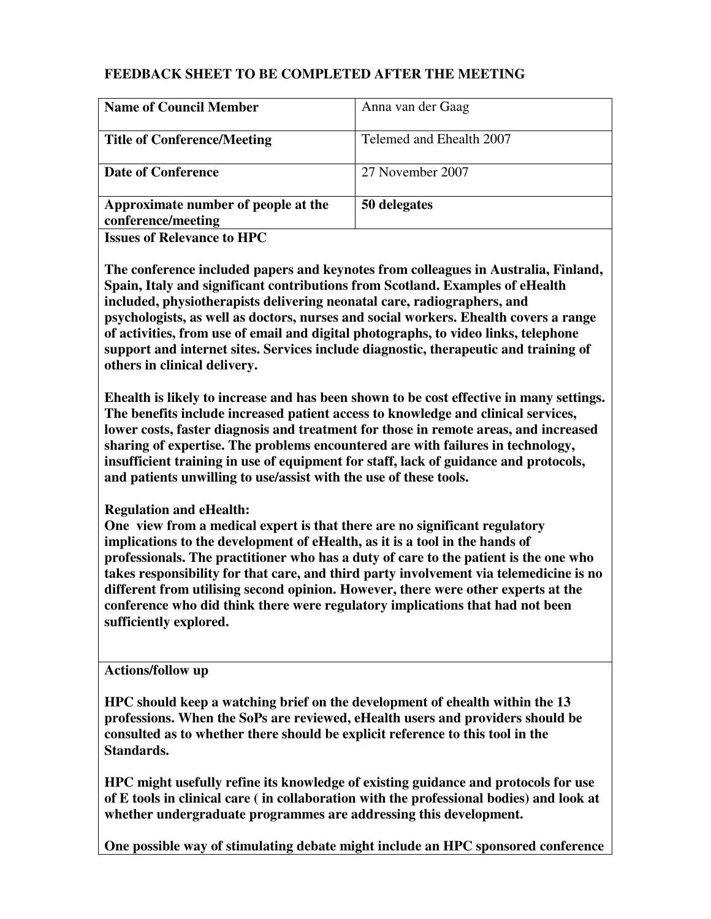| <b>Name of Council Member</b>                             | Anna van der Gaag        |
|-----------------------------------------------------------|--------------------------|
| <b>Title of Conference/Meeting</b>                        | Telemed and Ehealth 2007 |
| <b>Date of Conference</b>                                 | 27 November 2007         |
| Approximate number of people at the<br>conference/meeting | 50 delegates             |

**Issues of Relevance to HPC** 

**The conference included papers and keynotes from colleagues in Australia, Finland, Spain, Italy and significant contributions from Scotland. Examples of eHealth included, physiotherapists delivering neonatal care, radiographers, and psychologists, as well as doctors, nurses and social workers. Ehealth covers a range of activities, from use of email and digital photographs, to video links, telephone support and internet sites. Services include diagnostic, therapeutic and training of others in clinical delivery.** 

**Ehealth is likely to increase and has been shown to be cost effective in many settings. The benefits include increased patient access to knowledge and clinical services, lower costs, faster diagnosis and treatment for those in remote areas, and increased sharing of expertise. The problems encountered are with failures in technology, insufficient training in use of equipment for staff, lack of guidance and protocols, and patients unwilling to use/assist with the use of these tools.** 

# **Regulation and eHealth:**

**One view from a medical expert is that there are no significant regulatory implications to the development of eHealth, as it is a tool in the hands of professionals. The practitioner who has a duty of care to the patient is the one who takes responsibility for that care, and third party involvement via telemedicine is no different from utilising second opinion. However, there were other experts at the conference who did think there were regulatory implications that had not been sufficiently explored.** 

### **Actions/follow up**

**HPC should keep a watching brief on the development of ehealth within the 13 professions. When the SoPs are reviewed, eHealth users and providers should be consulted as to whether there should be explicit reference to this tool in the Standards.** 

**HPC might usefully refine its knowledge of existing guidance and protocols for use of E tools in clinical care ( in collaboration with the professional bodies) and look at whether undergraduate programmes are addressing this development.** 

**One possible way of stimulating debate might include an HPC sponsored conference**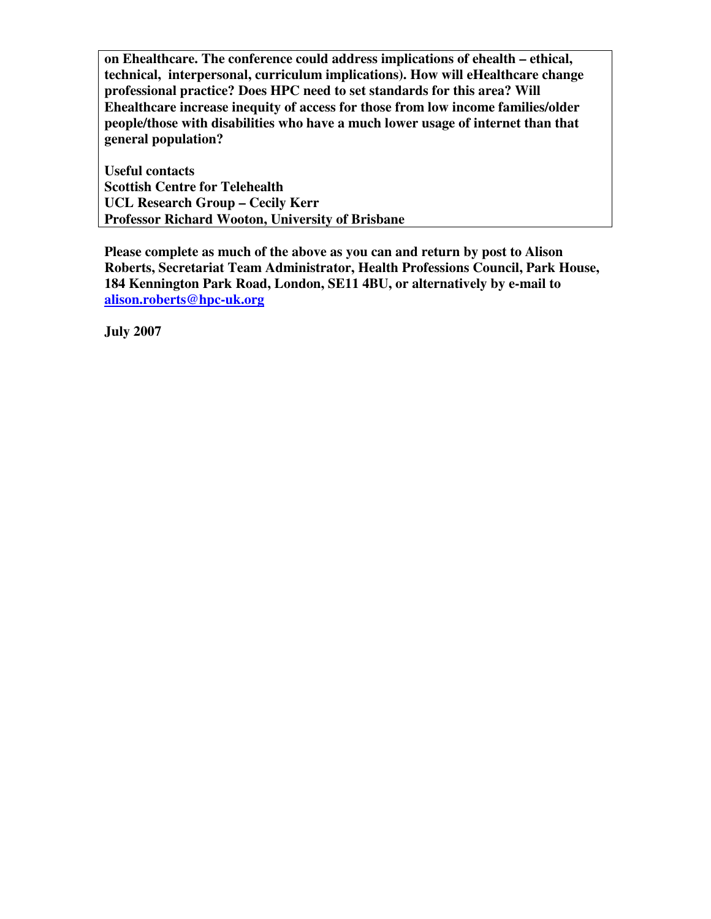**on Ehealthcare. The conference could address implications of ehealth – ethical, technical, interpersonal, curriculum implications). How will eHealthcare change professional practice? Does HPC need to set standards for this area? Will Ehealthcare increase inequity of access for those from low income families/older people/those with disabilities who have a much lower usage of internet than that general population?** 

**Useful contacts Scottish Centre for Telehealth UCL Research Group – Cecily Kerr Professor Richard Wooton, University of Brisbane** 

**Please complete as much of the above as you can and return by post to Alison Roberts, Secretariat Team Administrator, Health Professions Council, Park House, 184 Kennington Park Road, London, SE11 4BU, or alternatively by e-mail to alison.roberts@hpc-uk.org**

**July 2007**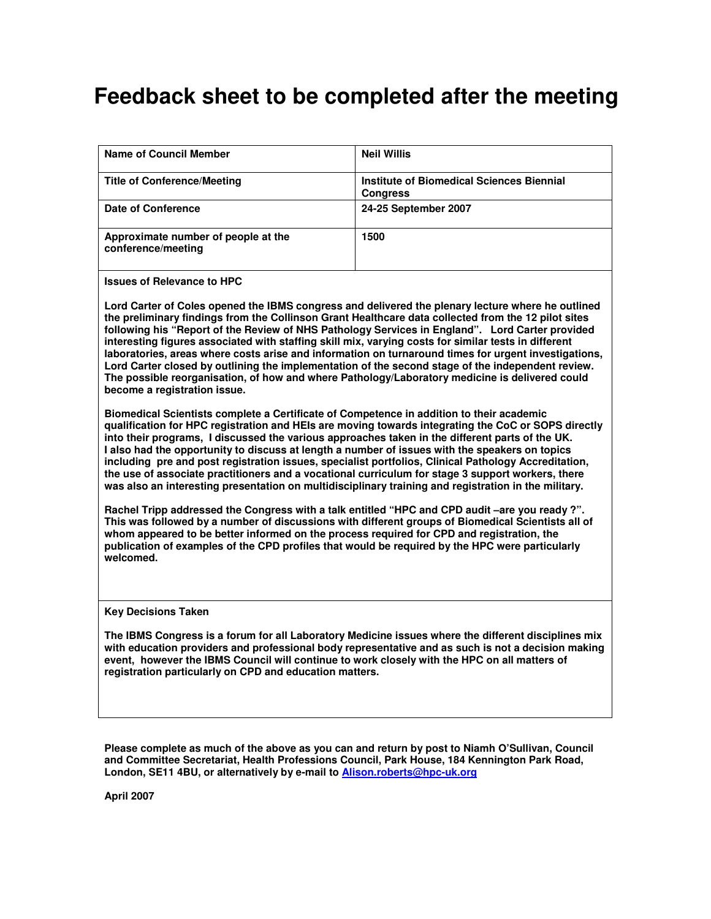# **Feedback sheet to be completed after the meeting**

| <b>Name of Council Member</b>                                                                                                                                                                                                                                                                                                                                                                                                                                                                                                                                                                                                                                                                                                                                                                                                                                                                                                                                                                                                                                                                                                                  | <b>Neil Willis</b>                                                  |  |
|------------------------------------------------------------------------------------------------------------------------------------------------------------------------------------------------------------------------------------------------------------------------------------------------------------------------------------------------------------------------------------------------------------------------------------------------------------------------------------------------------------------------------------------------------------------------------------------------------------------------------------------------------------------------------------------------------------------------------------------------------------------------------------------------------------------------------------------------------------------------------------------------------------------------------------------------------------------------------------------------------------------------------------------------------------------------------------------------------------------------------------------------|---------------------------------------------------------------------|--|
| <b>Title of Conference/Meeting</b>                                                                                                                                                                                                                                                                                                                                                                                                                                                                                                                                                                                                                                                                                                                                                                                                                                                                                                                                                                                                                                                                                                             | <b>Institute of Biomedical Sciences Biennial</b><br><b>Congress</b> |  |
| Date of Conference                                                                                                                                                                                                                                                                                                                                                                                                                                                                                                                                                                                                                                                                                                                                                                                                                                                                                                                                                                                                                                                                                                                             | 24-25 September 2007                                                |  |
| Approximate number of people at the<br>conference/meeting                                                                                                                                                                                                                                                                                                                                                                                                                                                                                                                                                                                                                                                                                                                                                                                                                                                                                                                                                                                                                                                                                      | 1500                                                                |  |
| <b>Issues of Relevance to HPC</b>                                                                                                                                                                                                                                                                                                                                                                                                                                                                                                                                                                                                                                                                                                                                                                                                                                                                                                                                                                                                                                                                                                              |                                                                     |  |
| Lord Carter of Coles opened the IBMS congress and delivered the plenary lecture where he outlined<br>the preliminary findings from the Collinson Grant Healthcare data collected from the 12 pilot sites<br>following his "Report of the Review of NHS Pathology Services in England". Lord Carter provided<br>interesting figures associated with staffing skill mix, varying costs for similar tests in different<br>laboratories, areas where costs arise and information on turnaround times for urgent investigations,<br>Lord Carter closed by outlining the implementation of the second stage of the independent review.<br>The possible reorganisation, of how and where Pathology/Laboratory medicine is delivered could<br>become a registration issue.                                                                                                                                                                                                                                                                                                                                                                             |                                                                     |  |
| Biomedical Scientists complete a Certificate of Competence in addition to their academic<br>qualification for HPC registration and HEIs are moving towards integrating the CoC or SOPS directly<br>into their programs, I discussed the various approaches taken in the different parts of the UK.<br>I also had the opportunity to discuss at length a number of issues with the speakers on topics<br>including pre and post registration issues, specialist portfolios, Clinical Pathology Accreditation,<br>the use of associate practitioners and a vocational curriculum for stage 3 support workers, there<br>was also an interesting presentation on multidisciplinary training and registration in the military.<br>Rachel Tripp addressed the Congress with a talk entitled "HPC and CPD audit -are you ready ?".<br>This was followed by a number of discussions with different groups of Biomedical Scientists all of<br>whom appeared to be better informed on the process required for CPD and registration, the<br>publication of examples of the CPD profiles that would be required by the HPC were particularly<br>welcomed. |                                                                     |  |
|                                                                                                                                                                                                                                                                                                                                                                                                                                                                                                                                                                                                                                                                                                                                                                                                                                                                                                                                                                                                                                                                                                                                                |                                                                     |  |
| <b>Key Decisions Taken</b>                                                                                                                                                                                                                                                                                                                                                                                                                                                                                                                                                                                                                                                                                                                                                                                                                                                                                                                                                                                                                                                                                                                     |                                                                     |  |
| The IBMS Congress is a forum for all Laboratory Medicine issues where the different disciplines mix<br>with education providers and professional body representative and as such is not a decision making<br>event, however the IBMS Council will continue to work closely with the HPC on all matters of<br>registration particularly on CPD and education matters.                                                                                                                                                                                                                                                                                                                                                                                                                                                                                                                                                                                                                                                                                                                                                                           |                                                                     |  |
|                                                                                                                                                                                                                                                                                                                                                                                                                                                                                                                                                                                                                                                                                                                                                                                                                                                                                                                                                                                                                                                                                                                                                |                                                                     |  |

**Please complete as much of the above as you can and return by post to Niamh O'Sullivan, Council and Committee Secretariat, Health Professions Council, Park House, 184 Kennington Park Road, London, SE11 4BU, or alternatively by e-mail to Alison.roberts@hpc-uk.org**

**April 2007**